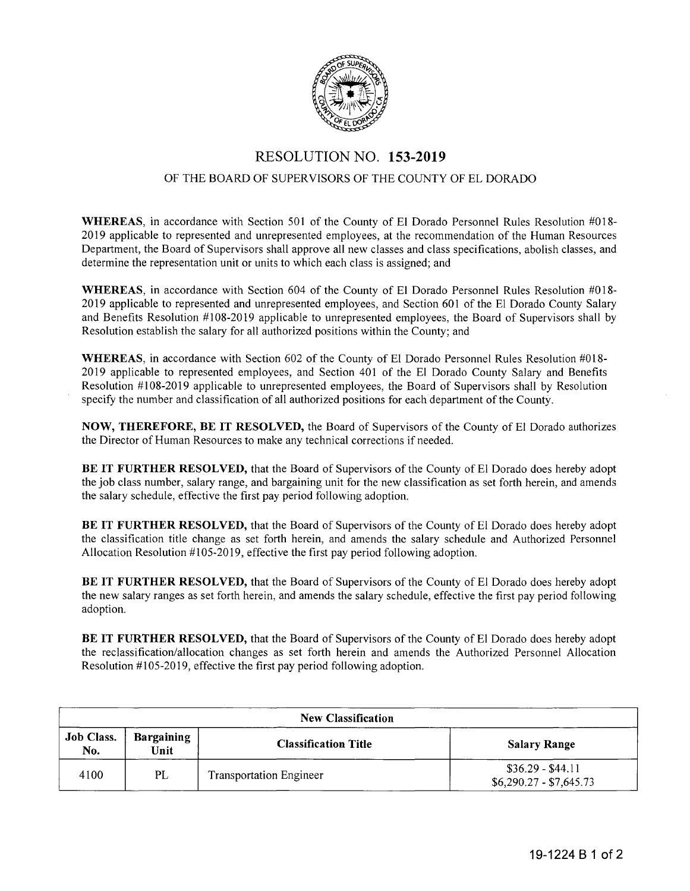

## RESOLUTION NO. **153-2019**

## OF THE BOARD OF SUPERVISORS OF THE COUNTY OF EL DORADO

**WHEREAS,** in accordance with Section 501 of the County of El Dorado Personnel Rules Resolution #018- 2019 applicable to represented and unrepresented employees, at the recommendation of the Human Resources Department, the Board of Supervisors shall approve all new classes and class specifications, abolish classes, and determine the representation unit or units to which each class is assigned; and

**WHEREAS,** in accordance with Section 604 of the County of El Dorado Personnel Rules Resolution #018- 2019 applicable to represented and unrepresented employees, and Section 601 of the El Dorado County Salary and Benefits Resolution #108-2019 applicable to unrepresented employees, the Board of Supervisors shall by Resolution establish the salary for all authorized positions within the County; and

**WHEREAS,** in accordance with Section 602 of the County of El Dorado Personnel Rules Resolution #018- 2019 applicable to represented employees, and Section 401 of the El Dorado County Salary and Benefits Resolution #108-2019 applicable to unrepresented employees, the Board of Supervisors shall by Resolution specify the number and classification of all authorized positions for each department of the County.

**NOW, THEREFORE, BE IT RESOLVED,** the Board of Supervisors of the County of El Dorado authorizes the Director of Human Resources to make any technical corrections if needed.

**BE IT FURTHER RESOLVED,** that the Board of Supervisors of the County of El Dorado does hereby adopt the job class number, salary range, and bargaining unit for the new classification as set forth herein, and amends the salary schedule, effective the first pay period following adoption.

**BE IT FURTHER RESOLVED,** that the Board of Supervisors of the County of El Dorado does hereby adopt the classification title change as set forth herein, and amends the salary schedule and Authorized Personnel Allocation Resolution #105-2019, effective the first pay period following adoption.

**BE IT FURTHER RESOLVED,** that the Board of Supervisors of the County of El Dorado does hereby adopt the new salary ranges as set forth herein, and amends the salary schedule, effective the first pay period following adoption.

**BE IT FURTHER RESOLVED,** that the Board of Supervisors of the County of El Dorado does hereby adopt the reclassification/allocation changes as set forth herein and amends the Authorized Personnel Allocation Resolution #105-2019, effective the first pay period following adoption.

| <b>New Classification</b> |                           |                                |                                              |  |  |
|---------------------------|---------------------------|--------------------------------|----------------------------------------------|--|--|
| <b>Job Class.</b><br>No.  | <b>Bargaining</b><br>Unit | <b>Classification Title</b>    | <b>Salary Range</b>                          |  |  |
| PL<br>4100                |                           | <b>Transportation Engineer</b> | $$36.29 - $44.11$<br>$$6,290.27 - $7,645.73$ |  |  |